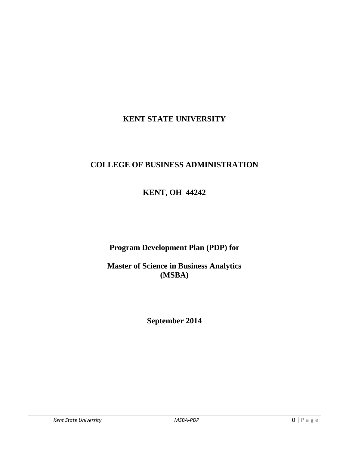# **KENT STATE UNIVERSITY**

# **COLLEGE OF BUSINESS ADMINISTRATION**

# **KENT, OH 44242**

# **Program Development Plan (PDP) for**

# **Master of Science in Business Analytics (MSBA)**

# **September 2014**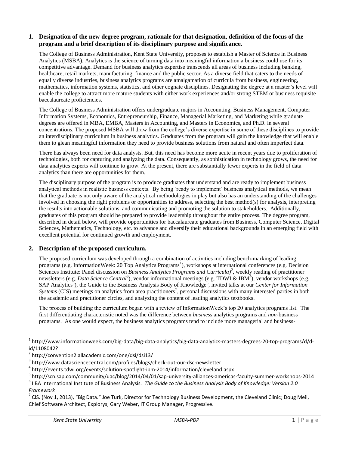#### **1. Designation of the new degree program, rationale for that designation, definition of the focus of the program and a brief description of its disciplinary purpose and significance.**

The College of Business Administration, Kent State University, proposes to establish a Master of Science in Business Analytics (MSBA). Analytics is the science of turning data into meaningful information a business could use for its competitive advantage. Demand for business analytics expertise transcends all areas of business including banking, healthcare, retail markets, manufacturing, finance and the public sector. As a diverse field that caters to the needs of equally diverse industries, business analytics programs are amalgamation of curricula from business, engineering, mathematics, information systems, statistics, and other cognate disciplines. Designating the degree at a master's level will enable the college to attract more mature students with either work experiences and/or strong STEM or business requisite baccalaureate proficiencies.

The College of Business Administration offers undergraduate majors in Accounting, Business Management, Computer Information Systems, Economics, Entrepreneurship, Finance, Managerial Marketing, and Marketing while graduate degrees are offered in MBA, EMBA, Masters in Accounting, and Masters in Economics, and Ph.D. in several concentrations. The proposed MSBA will draw from the college's diverse expertise in some of these disciplines to provide an interdisciplinary curriculum in business analytics. Graduates from the program will gain the knowledge that will enable them to glean meaningful information they need to provide business solutions from natural and often imperfect data.

There has always been need for data analysts. But, this need has become more acute in recent years due to proliferation of technologies, both for capturing and analyzing the data. Consequently, as sophistication in technology grows, the need for data analytics experts will continue to grow. At the present, there are substantially fewer experts in the field of data analytics than there are opportunities for them.

The disciplinary purpose of the program is to produce graduates that understand and are ready to implement business analytical methods in realistic business contexts. By being 'ready to implement' business analytical methods, we mean that the graduate is not only aware of the analytical methodologies in play but also has an understanding of the challenges involved in choosing the right problems or opportunities to address, selecting the best method(s) for analysis, interpreting the results into actionable solutions, and communicating and promoting the solution to stakeholders. Additionally, graduates of this program should be prepared to provide leadership throughout the entire process. The degree program, described in detail below, will provide opportunities for baccalaureate graduates from Business, Computer Science, Digital Sciences, Mathematics, Technology, etc. to advance and diversify their educational backgrounds in an emerging field with excellent potential for continued growth and employment.

#### **2. Description of the proposed curriculum.**

The proposed curriculum was developed through a combination of activities including bench-marking of leading programs (e.g. InformationWeek: 20 Top Analytics Programs<sup>1</sup>), workshops at international conferences (e.g. Decision Sciences Institute: Panel discussion on *Business Analytics Programs and Curricula*)<sup>2</sup>, weekly reading of practitioner newsletters (e.g. *Data Science Central<sup>3</sup>*), vendor informational meetings (e.g. TDWI & IBM<sup>4</sup>), vendor workshops (e.g. SAP Analytics<sup>5</sup>), the Guide to the Business Analysis Body of Knowledge<sup>6</sup>, invited talks at our *Center for Information Systems* (CIS) meetings on analytics from area practitioners<sup>7</sup>, personal discussions with many interested parties in both the academic and practitioner circles, and analyzing the content of leading analytics textbooks.

The process of building the curriculum began with a review of InformationWeek's top 20 analytics programs list. The first differentiating characteristic noted was the difference between *business* analytics programs and *non-*business programs. As one would expect, the business analytics programs tend to include more managerial and business-

4 http://events.tdwi.org/events/solution-spotlight-ibm-2014/information/cleveland.aspx

<sup>&</sup>lt;sup>1</sup> http://www.informationweek.com/big-data/big-data-analytics/big-data-analytics-masters-degrees-20-top-programs/d/did/1108042?

<sup>2</sup> http://convention2.allacademic.com/one/dsi/dsi13/

<sup>3</sup> http://www.datasciencecentral.com/profiles/blogs/check-out-our-dsc-newsletter

<sup>5</sup> http://scn.sap.com/community/uac/blog/2014/04/01/sap-university-alliances-americas-faculty-summer-workshops-2014

<sup>6</sup> IIBA International Institute of Business Analysis. *The Guide to the Business Analysis Body of Knowledge: Version 2.0 Framework*

 $^7$  CIS. (Nov 1, 2013), "Big Data." Joe Turk, Director for Technology Business Development, the Cleveland Clinic; Doug Meil, Chief Software Architect, Explorys; Gary Weber, IT Group Manager, Progressive.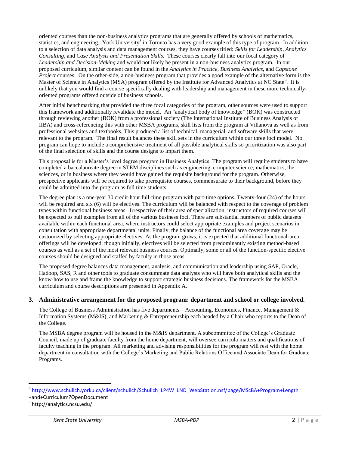oriented courses than the non-business analytics programs that are generally offered by schools of mathematics, statistics, and engineering. York University<sup>8</sup> in Toronto has a very good example of this type of program. In addition to a selection of data analysis and data management courses, they have courses titled: *Skills for Leadership*, *Analytics Consulting*, and *Case Analysis and Presentation Skills.* These courses clearly fall into our focal category of *Leadership and Decision-Making* and would not likely be present in a non-business analytics program. In our proposed curriculum, similar content can be found in the *Analytics in Practice*, *Business Analytics*, and *Capstone Project* courses. On the other-side, a non-business program that provides a good example of the alternative form is the Master of Science in Analytics (MSA) program offered by the Institute for Advanced Analytics at NC State<sup>9</sup>. It is unlikely that you would find a course specifically dealing with leadership and management in these more technicallyoriented programs offered outside of business schools.

After initial benchmarking that provided the three focal categories of the program, other sources were used to support this framework and additionally revalidate the model. An "analytical body of knowledge" (BOK) was constructed through reviewing another (BOK) from a professional society (The International Institute of Business Analysis or IIBA) and cross-referencing this with other MSBA programs, skill lists from the program at Villanova as well as from professional websites and textbooks. This produced a list of technical, managerial, and software skills that were relevant to the program. The final result balances these skill sets in the curriculum within our three foci model. No program can hope to include a comprehensive treatment of all possible analytical skills so prioritization was also part of the final selection of skills and the course designs to impart them.

This proposal is for a Master's level degree program in Business Analytics. The program will require students to have completed a baccalaureate degree in STEM disciplines such as engineering, computer science, mathematics, the sciences, or in business where they would have gained the requisite background for the program. Otherwise, prospective applicants will be required to take prerequisite courses, commensurate to their background, before they could be admitted into the program as full time students.

The degree plan is a one-year 30 credit-hour full-time program with part-time options. Twenty-four (24) of the hours will be required and six (6) will be electives. The curriculum will be balanced with respect to the coverage of problem types within functional business areas. Irrespective of their area of specialization, instructors of required courses will be expected to pull examples from all of the various business foci. There are substantial numbers of public datasets available within each functional area, where instructors could select appropriate examples and project scenarios in consultation with appropriate departmental units. Finally, the balance of the functional area coverage may be customized by selecting appropriate electives. As the program grows, it is expected that additional functional-area offerings will be developed, though initially, electives will be selected from predominantly existing method-based courses as well as a set of the most relevant business courses. Optimally, some or all of the function-specific elective courses should be designed and staffed by faculty in those areas.

The proposed degree balances data management, analysis, and communication and leadership using SAP, Oracle, Hadoop, SAS, R and other tools to graduate consummate data analysts who will have both analytical skills and the know-how to use and frame the knowledge to support strategic business decisions. The framework for the MSBA curriculum and course descriptions are presented in Appendix A.

#### **3. Administrative arrangement for the proposed program: department and school or college involved.**

The College of Business Administration has five departments—Accounting, Economics, Finance, Management & Information Systems (M&IS), and Marketing & Entrepreneurship each headed by a Chair who reports to the Dean of the College.

The MSBA degree program will be housed in the M&IS department. A subcommittee of the College's Graduate Council, made up of graduate faculty from the home department, will oversee curricula matters and qualifications of faculty teaching in the program. All marketing and advising responsibilities for the program will rest with the home department in consultation with the College's Marketing and Public Relations Office and Associate Dean for Graduate Programs.

<sup>&</sup>lt;sup>8</sup> [http://www.schulich.yorku.ca/client/schulich/Schulich\\_LP4W\\_LND\\_WebStation.nsf/page/MScBA+Program+Length](http://www.schulich.yorku.ca/client/schulich/Schulich_LP4W_LND_WebStation.nsf/page/MScBA+Program+Length)

<sup>+</sup>and+Curriculum?OpenDocument

<sup>&</sup>lt;sup>9</sup> http://analytics.ncsu.edu/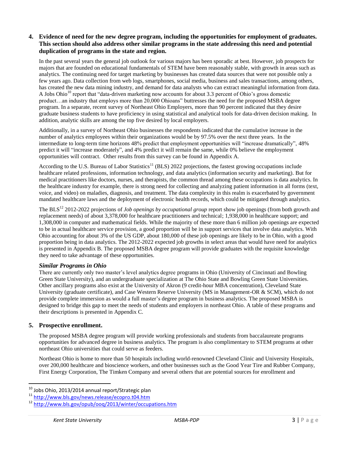### **4. Evidence of need for the new degree program, including the opportunities for employment of graduates. This section should also address other similar programs in the state addressing this need and potential duplication of programs in the state and region.**

In the past several years the general job outlook for various majors has been sporadic at best. However, job prospects for majors that are founded on educational fundamentals of STEM have been reasonably stable, with growth in areas such as analytics. The continuing need for target marketing by businesses has created data sources that were not possible only a few years ago. Data collection from web logs, smartphones, social media, business and sales transactions, among others, has created the new data mining industry, and demand for data analysts who can extract meaningful information from data. A Jobs Ohio<sup>10</sup> report that "data-driven marketing now accounts for about 3.3 percent of Ohio's gross domestic product…an industry that employs more than 20,000 Ohioans" buttresses the need for the proposed MSBA degree program. In a separate, recent survey of Northeast Ohio Employers, more than 90 percent indicated that they desire graduate business students to have proficiency in using statistical and analytical tools for data-driven decision making. In addition, analytic skills are among the top five desired by local employers.

Additionally, in a survey of Northeast Ohio businesses the respondents indicated that the cumulative increase in the number of analytics employees within their organizations would be by 97.5% over the next three years. In the intermediate to long-term time horizons 48% predict that employment opportunities will "increase dramatically", 48% predict it will "increase moderately", and 4% predict it will remain the same, while 0% believe the employment opportunities will contract. Other results from this survey can be found in Appendix A.

According to the U.S. Bureau of Labor Statistics<sup>11</sup> (BLS) 2022 projections, the fastest growing occupations include healthcare related professions, information technology, and data analytics (information security and marketing). But for medical practitioners like doctors, nurses, and therapists, the common thread among these occupations is data analytics. In the healthcare industry for example, there is strong need for collecting and analyzing patient information in all forms (text, voice, and video) on maladies, diagnosis, and treatment. The data complexity in this realm is exacerbated by government mandated healthcare laws and the deployment of electronic health records, which could be mitigated through analytics.

The BLS<sup>12</sup> 2012-2022 projections of *Job openings by occupational group* report show job openings (from both growth and replacement needs) of about 3,378,000 for healthcare practitioners and technical; 1,938,000 in healthcare support; and 1,308,000 in computer and mathematical fields. While the majority of these more than 6 million job openings are expected to be in actual healthcare service provision, a good proportion will be in support services that involve data analytics. With Ohio accounting for about 3% of the US GDP, about 180,000 of these job openings are likely to be in Ohio, with a good proportion being in data analytics. The 2012-2022 expected job growths in select areas that would have need for analytics is presented in Appendix B. The proposed MSBA degree program will provide graduates with the requisite knowledge they need to take advantage of these opportunities.

#### *Similar Programs in Ohio*

There are currently only two master's level analytics degree programs in Ohio (University of Cincinnati and Bowling Green State University), and an undergraduate specialization at The Ohio State and Bowling Green State Universities. Other ancillary programs also exist at the University of Akron (9 credit-hour MBA concentration), Cleveland State University (graduate certificate), and Case Western Reserve University (MS in Management-OR & SCM), which do not provide complete immersion as would a full master's degree program in business analytics. The proposed MSBA is designed to bridge this gap to meet the needs of students and employers in northeast Ohio. A table of these programs and their descriptions is presented in Appendix C.

## **5. Prospective enrollment.**

 $\overline{a}$ 

The proposed MSBA degree program will provide working professionals and students from baccalaureate programs opportunities for advanced degree in business analytics. The program is also complimentary to STEM programs at other northeast Ohio universities that could serve as feeders.

Northeast Ohio is home to more than 50 hospitals including world-renowned Cleveland Clinic and University Hospitals, over 200,000 healthcare and bioscience workers, and other businesses such as the Good Year Tire and Rubber Company, First Energy Corporation, The Timken Company and several others that are potential sources for enrollment and

<sup>&</sup>lt;sup>10</sup> Jobs Ohio, 2013/2014 annual report/Strategic plan<br><sup>11</sup> http://www.bls.gov/news.release/ecopro.t04.htm

 $\frac{11 \text{ http://www.bls.gov/news.release/ecopro.t04.htm}}{12 \text{ http://www.bls.gov/enub/000/2013/writer/occun)}}$  $\frac{11 \text{ http://www.bls.gov/news.release/ecopro.t04.htm}}{12 \text{ http://www.bls.gov/enub/000/2013/writer/occun)}}$  $\frac{11 \text{ http://www.bls.gov/news.release/ecopro.t04.htm}}{12 \text{ http://www.bls.gov/enub/000/2013/writer/occun)}}$ 

<sup>1&</sup>lt;sup>1</sup> http://www.bls.gov/opub/oog/2013/winter/occupations.htm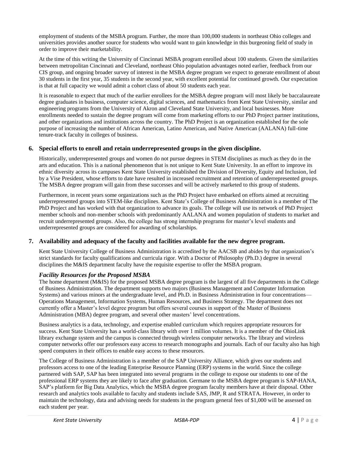employment of students of the MSBA program. Further, the more than 100,000 students in northeast Ohio colleges and universities provides another source for students who would want to gain knowledge in this burgeoning field of study in order to improve their marketability.

At the time of this writing the University of Cincinnati MSBA program enrolled about 100 students. Given the similarities between metropolitan Cincinnati and Cleveland, northeast Ohio population advantages noted earlier, feedback from our CIS group, and ongoing broader survey of interest in the MSBA degree program we expect to generate enrollment of about 30 students in the first year, 35 students in the second year, with excellent potential for continued growth. Our expectation is that at full capacity we would admit a cohort class of about 50 students each year.

It is reasonable to expect that much of the earlier enrollees for the MSBA degree program will most likely be baccalaureate degree graduates in business, computer science, digital sciences, and mathematics from Kent State University, similar and engineering programs from the University of Akron and Cleveland State University, and local businesses. More enrollments needed to sustain the degree program will come from marketing efforts to our PhD Project partner institutions, and other organizations and institutions across the country. The PhD Project is an organization established for the sole purpose of increasing the number of African American, Latino American, and Native American (AALANA) full-time tenure-track faculty in colleges of business.

### **6. Special efforts to enroll and retain underrepresented groups in the given discipline.**

Historically, underrepresented groups and women do not pursue degrees in STEM disciplines as much as they do in the arts and education. This is a national phenomenon that is not unique to Kent State University. In an effort to improve its ethnic diversity across its campuses Kent State University established the Division of Diversity, Equity and Inclusion, led by a Vise President, whose efforts to date have resulted in increased recruitment and retention of underrepresented groups. The MSBA degree program will gain from these successes and will be actively marketed to this group of students.

Furthermore, in recent years some organizations such as the PhD Project have embarked on efforts aimed at recruiting underrepresented groups into STEM-like disciplines. Kent State's College of Business Administration is a member of The PhD Project and has worked with that organization to advance its goals. The college will use its network of PhD Project member schools and non-member schools with predominantly AALANA and women population of students to market and recruit underrepresented groups. Also, the college has strong internship programs for master's level students and underrepresented groups are considered for awarding of scholarships.

#### **7. Availability and adequacy of the faculty and facilities available for the new degree program.**

Kent State University College of Business Administration is accredited by the AACSB and abides by that organization's strict standards for faculty qualifications and curricula rigor. With a Doctor of Philosophy (Ph.D.) degree in several disciplines the M&IS department faculty have the requisite expertise to offer the MSBA program.

## *Facility Resources for the Proposed MSBA*

The home department (M&IS) for the proposed MSBA degree program is the largest of all five departments in the College of Business Administration. The department supports two majors (Business Management and Computer Information Systems) and various minors at the undergraduate level, and Ph.D. in Business Administration in four concentrations— Operations Management, Information Systems, Human Resources, and Business Strategy. The department does not currently offer a Master's level degree program but offers several courses in support of the Master of Business Administration (MBA) degree program, and several other masters' level concentrations.

Business analytics is a data, technology, and expertise enabled curriculum which requires appropriate resources for success. Kent State University has a world-class library with over 1 million volumes. It is a member of the OhioLink library exchange system and the campus is connected through wireless computer networks. The library and wireless computer networks offer our professors easy access to research monographs and journals. Each of our faculty also has high speed computers in their offices to enable easy access to these resources.

The College of Business Administration is a member of the SAP University Alliance, which gives our students and professors access to one of the leading Enterprise Resource Planning (ERP) systems in the world. Since the college partnered with SAP, SAP has been integrated into several programs in the college to expose our students to one of the professional ERP systems they are likely to face after graduation. Germane to the MSBA degree program is SAP-HANA, SAP's platform for Big Data Analytics, which the MSBA degree program faculty members have at their disposal. Other research and analytics tools available to faculty and students include SAS, JMP, R and STRATA. However, in order to maintain the technology, data and advising needs for students in the program general fees of \$1,000 will be assessed on each student per year.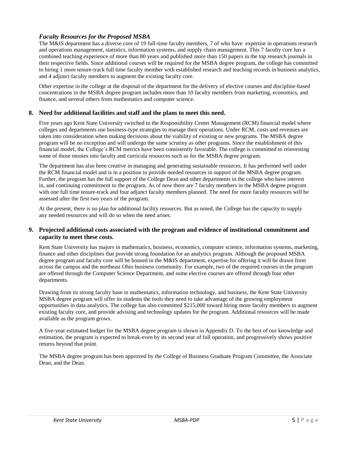### *Faculty Resources for the Proposed MSBA*

The M&IS department has a diverse core of 19 full-time faculty members, 7 of who have expertise in operations research and operations management, statistics, information systems, and supply chain management. This 7 faculty core has a combined teaching experience of more than 80 years and published more than 150 papers in the top research journals in their respective fields. Since additional courses will be required for the MSBA degree program, the college has committed to hiring 1 more tenure-track full time faculty member with established research and teaching records in business analytics, and 4 adjunct faculty members to augment the existing faculty core.

Other expertise in the college at the disposal of the department for the delivery of elective courses and discipline-based concentrations in the MSBA degree program includes more than 10 faculty members from marketing, economics, and finance, and several others from mathematics and computer science.

#### **8. Need for additional facilities and staff and the plans to meet this need.**

Five years ago Kent State University switched to the Responsibility Center Management (RCM) financial model where colleges and departments use business-type strategies to manage their operations. Under RCM, costs and revenues are taken into consideration when making decisions about the viability of existing or new programs. The MSBA degree program will be no exception and will undergo the same scrutiny as other programs. Since the establishment of this financial model, the College's RCM metrics have been consistently favorable. The college is committed to reinvesting some of those monies into faculty and curricula resources such as for the MSBA degree program.

The department has also been creative in managing and generating sustainable resources. It has performed well under the RCM financial model and is in a position to provide needed resources in support of the MSBA degree program. Further, the program has the full support of the College Dean and other departments in the college who have interest in, and continuing commitment to the program. As of now there are 7 faculty members in the MSBA degree program with one full time tenure-track and four adjunct faculty members planned. The need for more faculty resources will be assessed after the first two years of the program.

At the present, there is no plan for additional facility resources. But as noted, the College has the capacity to supply any needed resources and will do so when the need arises.

#### **9. Projected additional costs associated with the program and evidence of institutional commitment and capacity to meet these costs.**

Kent State University has majors in mathematics, business, economics, computer science, information systems, marketing, finance and other disciplines that provide strong foundation for an analytics program. Although the proposed MSBA degree program and faculty core will be housed in the M&IS department, expertise for offering it will be drawn from across the campus and the northeast Ohio business community. For example, two of the required courses in the program are offered through the Computer Science Department, and some elective courses are offered through four other departments.

Drawing from its strong faculty base in mathematics, information technology, and business, the Kent State University MSBA degree program will offer its students the tools they need to take advantage of the growing employment opportunities in data analytics. The college has also committed \$215,000 toward hiring more faculty members to augment existing faculty core, and provide advising and technology updates for the program. Additional resources will be made available as the program grows.

A five-year estimated budget for the MSBA degree program is shown in Appendix D. To the best of our knowledge and estimation, the program is expected to break-even by its second year of full operation, and progressively shows positive returns beyond that point.

The MSBA degree program has been approved by the College of Business Graduate Program Committee, the Associate Dean, and the Dean.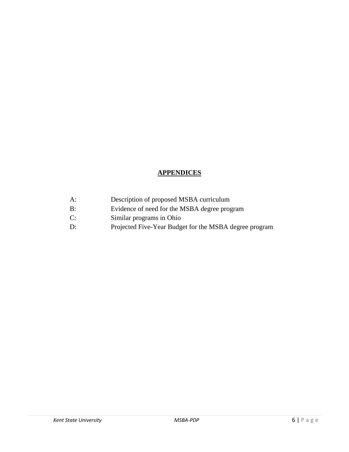# **APPENDICES**

- A: Description of proposed MSBA curriculum
- B: Evidence of need for the MSBA degree program
- C: Similar programs in Ohio
- D: Projected Five-Year Budget for the MSBA degree program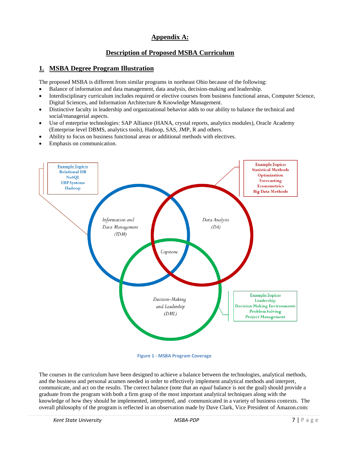# **Appendix A:**

## **Description of Proposed MSBA Curriculum**

## **1. MSBA Degree Program Illustration**

The proposed MSBA is different from similar programs in northeast Ohio because of the following:

- Balance of information and data management, data analysis, decision-making and leadership.
- Interdisciplinary curriculum includes required or elective courses from business functional areas, Computer Science, Digital Sciences, and Information Architecture & Knowledge Management.
- Distinctive faculty in leadership and organizational behavior adds to our ability to balance the technical and social/managerial aspects.
- Use of enterprise technologies: SAP Alliance (HANA, crystal reports, analytics modules), Oracle Academy (Enterprise level DBMS, analytics tools), Hadoop, SAS, JMP, R and others.
- Ability to focus on business functional areas or additional methods with electives.
- Emphasis on communication.



**Figure 1 - MSBA Program Coverage**

The courses in the curriculum have been designed to achieve a balance between the technologies, analytical methods, and the business and personal acumen needed in order to effectively implement analytical methods and interpret, communicate, and act on the results. The correct balance (note that an *equal* balance is not the goal) should provide a graduate from the program with both a firm grasp of the most important analytical techniques along with the knowledge of how they should be implemented, interpreted, and communicated in a variety of business contexts. The overall philosophy of the program is reflected in an observation made by Dave Clark, Vice President of Amazon.com: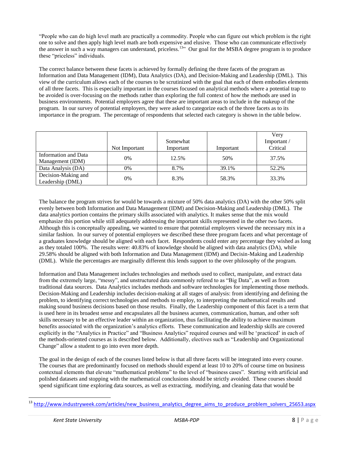"People who can do high level math are practically a commodity. People who can figure out which problem is the right one to solve and then apply high level math are both expensive and elusive. Those who can communicate effectively the answer in such a way managers can understand, priceless.<sup>13</sup><sup>33</sup> Our goal for the MSBA degree program is to produce these "priceless" individuals.

The correct balance between these facets is achieved by formally defining the three facets of the program as Information and Data Management (IDM), Data Analytics (DA), and Decision-Making and Leadership (DML). This view of the curriculum allows each of the courses to be scrutinized with the goal that each of them embodies elements of all three facets. This is especially important in the courses focused on analytical methods where a potential trap to be avoided is over-focusing on the methods rather than exploring the full context of how the methods are used in business environments. Potential employers agree that these are important areas to include in the makeup of the program. In our survey of potential employers, they were asked to categorize each of the three facets as to its importance in the program. The percentage of respondents that selected each category is shown in the table below.

|                                          | Not Important | Somewhat<br>Important | Important | Very<br>Important/<br>Critical |
|------------------------------------------|---------------|-----------------------|-----------|--------------------------------|
| Information and Data<br>Management (IDM) | 0%            | 12.5%                 | 50%       | 37.5%                          |
| Data Analysis (DA)                       | 0%            | 8.7%                  | 39.1%     | 52.2%                          |
| Decision-Making and<br>Leadership (DML)  | 0%            | 8.3%                  | 58.3%     | 33.3%                          |

The balance the program strives for would be towards a mixture of 50% data analytics (DA) with the other 50% split evenly between both Information and Data Management (IDM) and Decision-Making and Leadership (DML). The data analytics portion contains the primary skills associated with analytics. It makes sense that the mix would emphasize this portion while still adequately addressing the important skills represented in the other two facets. Although this is conceptually appealing, we wanted to ensure that potential employers viewed the necessary mix in a similar fashion. In our survey of potential employers we described these three program facets and what percentage of a graduates knowledge should be aligned with each facet. Respondents could enter any percentage they wished as long as they totaled 100%. The results were: 40.83% of knowledge should be aligned with data analytics (DA), while 29.58% should be aligned with both Information and Data Management (IDM) and Decisin-Making and Leadership (DML). While the percentages are marginally different this lends support to the over philosophy of the program.

Information and Data Management includes technologies and methods used to collect, manipulate, and extract data from the extremely large, "messy", and unstructured data commonly refered to as "Big Data", as well as from traditional data sources. Data Analytics includes methods and software technologies for implementing those methods. Decision-Making and Leadership includes decision-making at all stages of analysis: from identifying and defining the problem, to identifying correct technologies and methods to employ, to interpreting the mathematical results and making sound business decisions based on those results. Finally, the Leadership component of this facet is a term that is used here in its broadest sense and encapsulates all the business acumen, communication, human, and other soft skills necessary to be an effective leader within an organization, thus facilitating the ability to achieve maximum benefits associated with the organization's analytics efforts. These communication and leadership skills are covered explicitly in the "Analytics in Practice" and "Business Analytics" required courses and will be 'practiced' in each of the methods-oriented courses as is described below. Additionally, electives such as "Leadership and Organizational Change" allow a student to go into even more depth.

The goal in the design of each of the courses listed below is that all three facets will be integrated into every course. The courses that are predominantly focused on methods should expend at least 10 to 20% of course time on business contextual elements that elevate "mathematical problems" to the level of "business cases". Starting with artificial and polished datasets and stopping with the mathematical conclusions should be strictly avoided. These courses should spend significant time exploring data sources, as well as extracting, modifying, and cleaning data that would be

[http://www.industryweek.com/articles/new\\_business\\_analytics\\_degree\\_aims\\_to\\_produce\\_problem\\_solvers\\_25653.aspx](http://www.industryweek.com/articles/new_business_analytics_degree_aims_to_produce_problem_solvers_25653.aspx)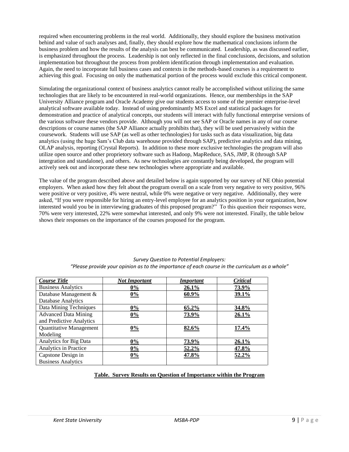required when encountering problems in the real world. Additionally, they should explore the business motivation behind and value of such analyses and, finally, they should explore how the mathematical conclusions inform the business problem and how the results of the analysis can best be communicated. Leadership, as was discussed earlier, is emphasized throughout the process. Leadership is not only reflected in the final conclusions, decisions, and solution implementation but throughout the process from problem identification through implementation and evaluation. Again, the need to incorporate full business cases and contexts in the methods-based courses is a requirement to achieving this goal. Focusing on only the mathematical portion of the process would exclude this critical component.

Simulating the organizational context of business analytics cannot really be accomplished without utilizing the same technologies that are likely to be encountered in real-world organizations. Hence, our memberships in the SAP University Alliance program and Oracle Academy give our students access to some of the premier enterprise-level analytical software available today. Instead of using predominantly MS Excel and statistical packages for demonstration and practice of analytical concepts, our students will interact with fully functional enterprise versions of the various software these vendors provide. Although you will not see SAP or Oracle names in any of our course descriptions or course names (the SAP Alliance actually prohibits that), they will be used pervasively within the coursework. Students will use SAP (as well as other technologies) for tasks such as data visualization, big data analytics (using the huge Sam's Club data warehouse provided through SAP), predictive analytics and data mining, OLAP analysis, reporting (Crystal Reports). In addition to these more exclusive technologies the program will also utilize open source and other proprietory software such as Hadoop, MapReduce, SAS, JMP, R (through SAP intergration and standalone), and others. As new technologies are constantly being developed, the program will actively seek out and incorporate these new technologies where appropriate and available.

The value of the program described above and detailed below is again supported by our survey of NE Ohio potential employers. When asked how they felt about the program overall on a scale from very negative to very positive, 96% were positive or very positive, 4% were neutral, while 0% were negative or very negative. Additionally, they were asked, "If you were responsible for hiring an entry-level employee for an analytics position in your organization, how interested would you be in interviewing graduates of this proposed program?" To this question their responses were, 70% were very interested, 22% were somewhat interested, and only 9% were not interested. Finally, the table below shows their responses on the importance of the courses proposed for the program.

| <b>Course Title</b>         | <b>Not Important</b> | <b>Important</b> | Critical |
|-----------------------------|----------------------|------------------|----------|
| <b>Business Analytics</b>   | $0\%$                | 26.1%            | 73.9%    |
| Database Management &       | $0\%$                | $60.9\%$         | 39.1%    |
| Database Analytics          |                      |                  |          |
| Data Mining Techniques      | $0\%$                | 65.2%            | 34.8%    |
| <b>Advanced Data Mining</b> | 0%                   | 73.9%            | 26.1%    |
| and Predictive Analytics    |                      |                  |          |
| Quantitative Management     | $0\%$                | 82.6%            | 17.4%    |
| Modeling                    |                      |                  |          |
| Analytics for Big Data      | $0\%$                | 73.9%            | 26.1%    |
| Analytics in Practice       | $0\%$                | 52.2%            | 47.8%    |
| Capstone Design in          | $0\%$                | 47.8%            | 52.2%    |
| <b>Business Analytics</b>   |                      |                  |          |

*Survey Question to Potential Employers: "Please provide your opinion as to the importance of each course in the curriculum as a whole"*

#### **Table. Survey Results on Question of Importance within the Program**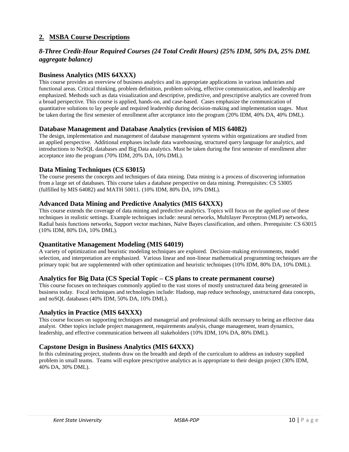## **2. MSBA Course Descriptions**

## *8-Three Credit-Hour Required Courses (24 Total Credit Hours) (25% IDM, 50% DA, 25% DML aggregate balance)*

### **Business Analytics (MIS 64XXX)**

This course provides an overview of business analytics and its appropriate applications in various industries and functional areas. Critical thinking, problem definition, problem solving, effective communication, and leadership are emphasized. Methods such as data visualization and descriptive, predictive, and prescriptive analytics are covered from a broad perspective. This course is applied, hands-on, and case-based. Cases emphasize the communication of quantitative solutions to lay people and required leadership during decision-making and implementation stages. Must be taken during the first semester of enrollment after acceptance into the program (20% IDM, 40% DA, 40% DML).

### **Database Management and Database Analytics (revision of MIS 64082)**

The design, implementation and management of database management systems within organizations are studied from an applied perspective. Additional emphases include data warehousing, structured query language for analytics, and introductions to NoSQL databases and Big Data analytics. Must be taken during the first semester of enrollment after acceptance into the program (70% IDM, 20% DA, 10% DML).

### **Data Mining Techniques (CS 63015)**

The course presents the concepts and techniques of data mining. Data mining is a process of discovering information from a large set of databases. This course takes a database perspective on data mining. Prerequisites: CS 53005 (fulfilled by MIS 64082) and MATH 50011. (10% IDM, 80% DA, 10% DML).

### **Advanced Data Mining and Predictive Analytics (MIS 64XXX)**

This course extends the coverage of data mining and predictive analytics. Topics will focus on the applied use of these techniques in realistic settings. Example techniques include: neural networks, Multilayer Perceptron (MLP) networks, Radial basis functions networks, Support vector machines, Naïve Bayes classification, and others. Prerequisite: CS 63015 (10% IDM, 80% DA, 10% DML).

#### **Quantitative Management Modeling (MIS 64019)**

A variety of optimization and heuristic modeling techniques are explored. Decision-making environments, model selection, and interpretation are emphasized. Various linear and non-linear mathematical programming techniques are the primary topic but are supplemented with other optimization and heuristic techniques (10% IDM, 80% DA, 10% DML).

#### **Analytics for Big Data (CS Special Topic – CS plans to create permanent course)**

This course focuses on techniques commonly applied to the vast stores of mostly unstructured data being generated in business today. Focal techniques and technologies include: Hadoop, map reduce technology, unstructured data concepts, and noSQL databases (40% IDM, 50% DA, 10% DML).

#### **Analytics in Practice (MIS 64XXX)**

This course focuses on supporting techniques and managerial and professional skills necessary to being an effective data analyst. Other topics include project management, requirements analysis, change management, team dynamics, leadership, and effective communication between all stakeholders (10% IDM, 10% DA, 80% DML).

## **Capstone Design in Business Analytics (MIS 64XXX)**

In this culminating project, students draw on the breadth and depth of the curriculum to address an industry supplied problem in small teams. Teams will explore prescriptive analytics as is appropriate to their design project (30% IDM, 40% DA, 30% DML).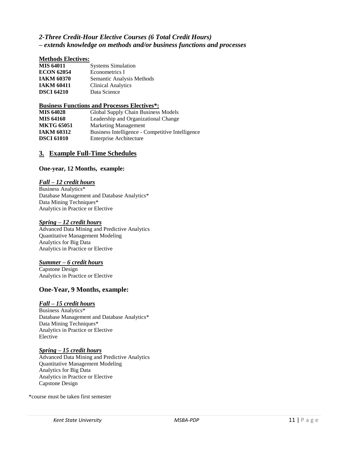## *2-Three Credit-Hour Elective Courses (6 Total Credit Hours) – extends knowledge on methods and/or business functions and processes*

#### **Methods Electives:**

| <b>MIS 64011</b>  | <b>Systems Simulation</b> |
|-------------------|---------------------------|
| <b>ECON 62054</b> | Econometrics I            |
| IAKM 60370        | Semantic Analysis Methods |
| <b>IAKM 60411</b> | <b>Clinical Analytics</b> |
| <b>DSCI 64210</b> | Data Science              |

#### **Business Functions and Processes Electives\*:**

| <b>MIS 64028</b>  | Global Supply Chain Business Models              |
|-------------------|--------------------------------------------------|
| <b>MIS 64160</b>  | Leadership and Organizational Change             |
| <b>MKTG 65051</b> | <b>Marketing Management</b>                      |
| IAKM 60312        | Business Intelligence - Competitive Intelligence |
| <b>DSCI 61010</b> | Enterprise Architecture                          |

## **3. Example Full-Time Schedules**

#### **One-year, 12 Months, example:**

#### *Fall – 12 credit hours*

Business Analytics\* Database Management and Database Analytics\* Data Mining Techniques\* Analytics in Practice or Elective

#### *Spring – 12 credit hours*

Advanced Data Mining and Predictive Analytics Quantitative Management Modeling Analytics for Big Data Analytics in Practice or Elective

#### *Summer – 6 credit hours*

Capstone Design Analytics in Practice or Elective

#### **One-Year, 9 Months, example:**

#### *Fall – 15 credit hours*

Business Analytics\* Database Management and Database Analytics\* Data Mining Techniques\* Analytics in Practice or Elective Elective

#### *Spring – 15 credit hours*

Advanced Data Mining and Predictive Analytics Quantitative Management Modeling Analytics for Big Data Analytics in Practice or Elective Capstone Design

\*course must be taken first semester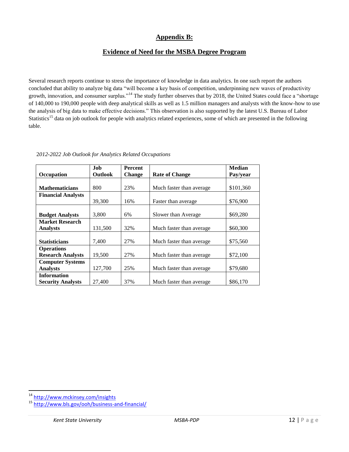## **Appendix B:**

## **Evidence of Need for the MSBA Degree Program**

Several research reports continue to stress the importance of knowledge in data analytics. In one such report the authors concluded that ability to analyze big data "will become a key basis of competition, underpinning new waves of productivity growth, innovation, and consumer surplus."<sup>14</sup> The study further observes that by 2018, the United States could face a "shortage" of 140,000 to 190,000 people with deep analytical skills as well as 1.5 million managers and analysts with the know-how to use the analysis of big data to make effective decisions." This observation is also supported by the latest U.S. Bureau of Labor Statistics<sup>15</sup> data on job outlook for people with analytics related experiences, some of which are presented in the following table.

|                           | .Iob           | <b>Percent</b> |                           | <b>Median</b> |
|---------------------------|----------------|----------------|---------------------------|---------------|
| Occupation                | <b>Outlook</b> | <b>Change</b>  | <b>Rate of Change</b>     | Pay/year      |
|                           |                |                |                           |               |
| <b>Mathematicians</b>     | 800            | 23%            | Much faster than average  | \$101,360     |
| <b>Financial Analysts</b> |                |                |                           |               |
|                           | 39,300         | 16%            | Faster than average       | \$76,900      |
|                           |                |                |                           |               |
| <b>Budget Analysts</b>    | 3.800          | 6%             | Slower than Average       | \$69,280      |
| <b>Market Research</b>    |                |                |                           |               |
| <b>Analysts</b>           | 131,500        | 32%            | Much faster than average. | \$60,300      |
|                           |                |                |                           |               |
| <b>Statisticians</b>      | 7.400          | 27%            | Much faster than average. | \$75,560      |
| <b>Operations</b>         |                |                |                           |               |
| <b>Research Analysts</b>  | 19.500         | 27%            | Much faster than average. | \$72,100      |
| <b>Computer Systems</b>   |                |                |                           |               |
| <b>Analysts</b>           | 127,700        | 25%            | Much faster than average  | \$79,680      |
| <b>Information</b>        |                |                |                           |               |
| <b>Security Analysts</b>  | 27,400         | 37%            | Much faster than average. | \$86,170      |

2*012-2022 Job Outlook for Analytics Related Occupations*

 $\overline{a}$ <sup>14</sup> <http://www.mckinsey.com/insights>

<sup>15</sup> <http://www.bls.gov/ooh/business-and-financial/>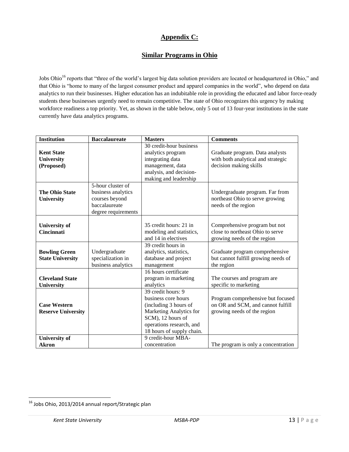# **Appendix C:**

## **Similar Programs in Ohio**

Jobs Ohio<sup>16</sup> reports that "three of the world's largest big data solution providers are located or headquartered in Ohio," and that Ohio is "home to many of the largest consumer product and apparel companies in the world", who depend on data analytics to run their businesses. Higher education has an indubitable role in providing the educated and labor force-ready students these businesses urgently need to remain competitive. The state of Ohio recognizes this urgency by making workforce readiness a top priority. Yet, as shown in the table below, only 5 out of 13 four-year institutions in the state currently have data analytics programs.

| <b>Institution</b>                                   | <b>Baccalaureate</b>                                                                              | <b>Masters</b>                                                                                                                                                              | <b>Comments</b>                                                                                       |
|------------------------------------------------------|---------------------------------------------------------------------------------------------------|-----------------------------------------------------------------------------------------------------------------------------------------------------------------------------|-------------------------------------------------------------------------------------------------------|
| <b>Kent State</b><br><b>University</b><br>(Proposed) |                                                                                                   | 30 credit-hour business<br>analytics program<br>integrating data<br>management, data<br>analysis, and decision-<br>making and leadership                                    | Graduate program. Data analysts<br>with both analytical and strategic<br>decision making skills       |
| <b>The Ohio State</b><br><b>University</b>           | 5-hour cluster of<br>business analytics<br>courses beyond<br>baccalaureate<br>degree requirements |                                                                                                                                                                             | Undergraduate program. Far from<br>northeast Ohio to serve growing<br>needs of the region             |
| <b>University of</b><br><b>Cincinnati</b>            |                                                                                                   | 35 credit hours: 21 in<br>modeling and statistics,<br>and 14 in electives                                                                                                   | Comprehensive program but not<br>close to northeast Ohio to serve<br>growing needs of the region      |
| <b>Bowling Green</b><br><b>State University</b>      | Undergraduate<br>specialization in<br>business analytics                                          | 39 credit hours in<br>analytics, statistics,<br>database and project<br>management                                                                                          | Graduate program comprehensive<br>but cannot fulfill growing needs of<br>the region                   |
| <b>Cleveland State</b><br><b>University</b>          |                                                                                                   | 16 hours certificate<br>program in marketing<br>analytics                                                                                                                   | The courses and program are<br>specific to marketing                                                  |
| <b>Case Western</b><br><b>Reserve University</b>     |                                                                                                   | 39 credit hours: 9<br>business core hours<br>(including 3 hours of<br>Marketing Analytics for<br>SCM), 12 hours of<br>operations research, and<br>18 hours of supply chain. | Program comprehensive but focused<br>on OR and SCM, and cannot fulfill<br>growing needs of the region |
| <b>University of</b><br><b>Akron</b>                 |                                                                                                   | 9 credit-hour MBA-<br>concentration                                                                                                                                         | The program is only a concentration                                                                   |

<sup>&</sup>lt;sup>16</sup> Jobs Ohio, 2013/2014 annual report/Strategic plan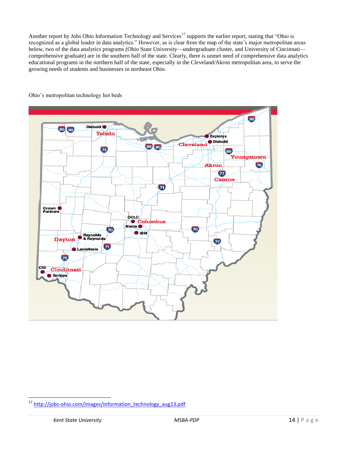Another report by Jobs Ohio Information Technology and Services<sup>17</sup> supports the earlier report, stating that "Ohio is recognized as a global leader in data analytics." However, as is clear from the map of the state's major metropolitan areas below, two of the data analytics programs (Ohio State University—undergraduate cluster, and University of Cincinnati comprehensive graduate) are in the southern half of the state. Clearly, there is unmet need of comprehensive data analytics educational programs in the northern half of the state, especially in the Cleveland/Akron metropolitan area, to serve the growing needs of students and businesses in northeast Ohio.



Ohio's metropolitan technology hot beds

<sup>17</sup> [http://jobs-ohio.com/images/information\\_technology\\_aug13.pdf](http://jobs-ohio.com/images/information_technology_aug13.pdf)